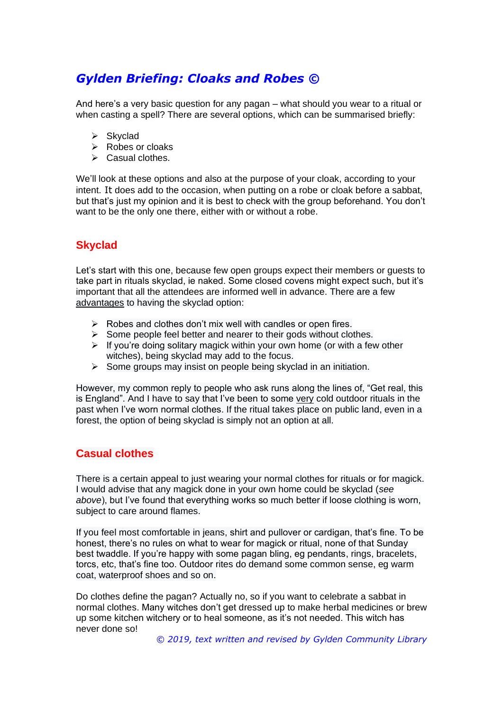# *Gylden Briefing: Cloaks and Robes ©*

And here's a very basic question for any pagan – what should you wear to a ritual or when casting a spell? There are several options, which can be summarised briefly:

- ➢ Skyclad
- ➢ Robes or cloaks
- ➢ Casual clothes.

We'll look at these options and also at the purpose of your cloak, according to your intent. It does add to the occasion, when putting on a robe or cloak before a sabbat, but that's just my opinion and it is best to check with the group beforehand. You don't want to be the only one there, either with or without a robe.

## **Skyclad**

Let's start with this one, because few open groups expect their members or guests to take part in rituals skyclad, ie naked. Some closed covens might expect such, but it's important that all the attendees are informed well in advance. There are a few advantages to having the skyclad option:

- $\triangleright$  Robes and clothes don't mix well with candles or open fires.
- $\triangleright$  Some people feel better and nearer to their gods without clothes.
- $\triangleright$  If you're doing solitary magick within your own home (or with a few other witches), being skyclad may add to the focus.
- $\triangleright$  Some groups may insist on people being skyclad in an initiation.

However, my common reply to people who ask runs along the lines of, "Get real, this is England". And I have to say that I've been to some very cold outdoor rituals in the past when I've worn normal clothes. If the ritual takes place on public land, even in a forest, the option of being skyclad is simply not an option at all.

#### **Casual clothes**

There is a certain appeal to just wearing your normal clothes for rituals or for magick. I would advise that any magick done in your own home could be skyclad (*see above*), but I've found that everything works so much better if loose clothing is worn, subject to care around flames.

If you feel most comfortable in jeans, shirt and pullover or cardigan, that's fine. To be honest, there's no rules on what to wear for magick or ritual, none of that Sunday best twaddle. If you're happy with some pagan bling, eg pendants, rings, bracelets, torcs, etc, that's fine too. Outdoor rites do demand some common sense, eg warm coat, waterproof shoes and so on.

Do clothes define the pagan? Actually no, so if you want to celebrate a sabbat in normal clothes. Many witches don't get dressed up to make herbal medicines or brew up some kitchen witchery or to heal someone, as it's not needed. This witch has never done so!

*© 2019, text written and revised by Gylden Community Library*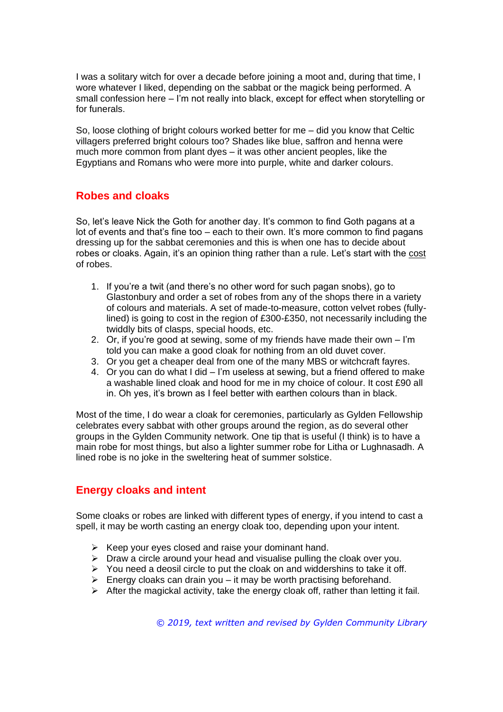I was a solitary witch for over a decade before joining a moot and, during that time, I wore whatever I liked, depending on the sabbat or the magick being performed. A small confession here – I'm not really into black, except for effect when storytelling or for funerals.

So, loose clothing of bright colours worked better for me – did you know that Celtic villagers preferred bright colours too? Shades like blue, saffron and henna were much more common from plant dyes – it was other ancient peoples, like the Egyptians and Romans who were more into purple, white and darker colours.

#### **Robes and cloaks**

So, let's leave Nick the Goth for another day. It's common to find Goth pagans at a lot of events and that's fine too – each to their own. It's more common to find pagans dressing up for the sabbat ceremonies and this is when one has to decide about robes or cloaks. Again, it's an opinion thing rather than a rule. Let's start with the cost of robes.

- 1. If you're a twit (and there's no other word for such pagan snobs), go to Glastonbury and order a set of robes from any of the shops there in a variety of colours and materials. A set of made-to-measure, cotton velvet robes (fullylined) is going to cost in the region of £300-£350, not necessarily including the twiddly bits of clasps, special hoods, etc.
- 2. Or, if you're good at sewing, some of my friends have made their own I'm told you can make a good cloak for nothing from an old duvet cover.
- 3. Or you get a cheaper deal from one of the many MBS or witchcraft fayres.
- 4. Or you can do what I did I'm useless at sewing, but a friend offered to make a washable lined cloak and hood for me in my choice of colour. It cost £90 all in. Oh yes, it's brown as I feel better with earthen colours than in black.

Most of the time, I do wear a cloak for ceremonies, particularly as Gylden Fellowship celebrates every sabbat with other groups around the region, as do several other groups in the Gylden Community network. One tip that is useful (I think) is to have a main robe for most things, but also a lighter summer robe for Litha or Lughnasadh. A lined robe is no joke in the sweltering heat of summer solstice.

### **Energy cloaks and intent**

Some cloaks or robes are linked with different types of energy, if you intend to cast a spell, it may be worth casting an energy cloak too, depending upon your intent.

- $\triangleright$  Keep your eyes closed and raise your dominant hand.
- ➢ Draw a circle around your head and visualise pulling the cloak over you.
- ➢ You need a deosil circle to put the cloak on and widdershins to take it off.
- $\triangleright$  Energy cloaks can drain you it may be worth practising beforehand.
- $\triangleright$  After the magickal activity, take the energy cloak off, rather than letting it fail.

*© 2019, text written and revised by Gylden Community Library*